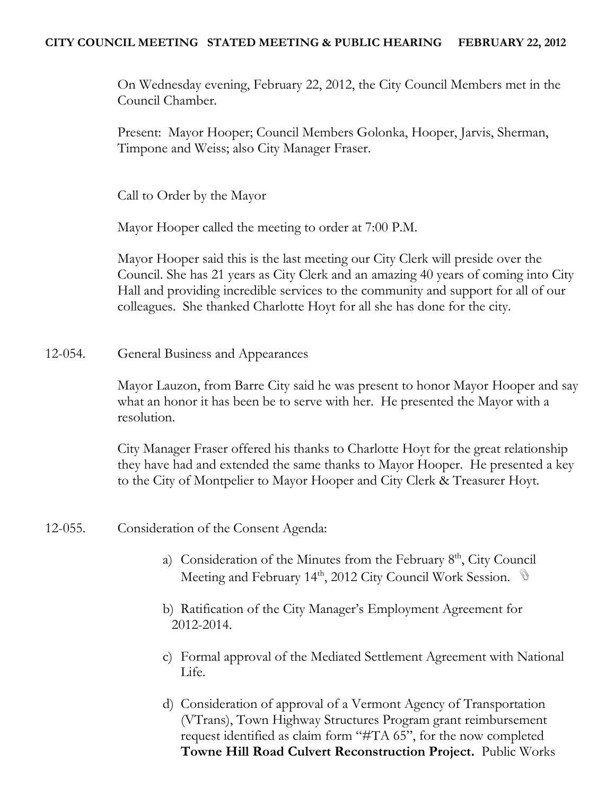# **CITY COUNCIL MEETING STATED MEETING & PUBLIC HEARING FEBRUARY 22, 2012**

On Wednesday evening, February 22, 2012, the City Council Members met in the Council Chamber.

Present: Mayor Hooper; Council Members Golonka, Hooper, Jarvis, Sherman, Timpone and Weiss; also City Manager Fraser.

Call to Order by the Mayor

Mayor Hooper called the meeting to order at 7:00 P.M.

Mayor Hooper said this is the last meeting our City Clerk will preside over the Council. She has 21 years as City Clerk and an amazing 40 years of coming into City Hall and providing incredible services to the community and support for all of our colleagues. She thanked Charlotte Hoyt for all she has done for the city.

12-054. General Business and Appearances

Mayor Lauzon, from Barre City said he was present to honor Mayor Hooper and say what an honor it has been be to serve with her. He presented the Mayor with a resolution.

City Manager Fraser offered his thanks to Charlotte Hoyt for the great relationship they have had and extended the same thanks to Mayor Hooper. He presented a key to the City of Montpelier to Mayor Hooper and City Clerk & Treasurer Hoyt.

- 12-055. Consideration of the Consent Agenda:
	- a) Consideration of the Minutes from the February  $8<sup>th</sup>$ , City Council Meeting and February 14<sup>th</sup>, 2012 City Council Work Session.
	- b) Ratification of the City Manager's Employment Agreement for 2012-2014.
	- c) Formal approval of the Mediated Settlement Agreement with National Life.
	- d) Consideration of approval of a Vermont Agency of Transportation (VTrans), Town Highway Structures Program grant reimbursement request identified as claim form "#TA 65", for the now completed **Towne Hill Road Culvert Reconstruction Project.** Public Works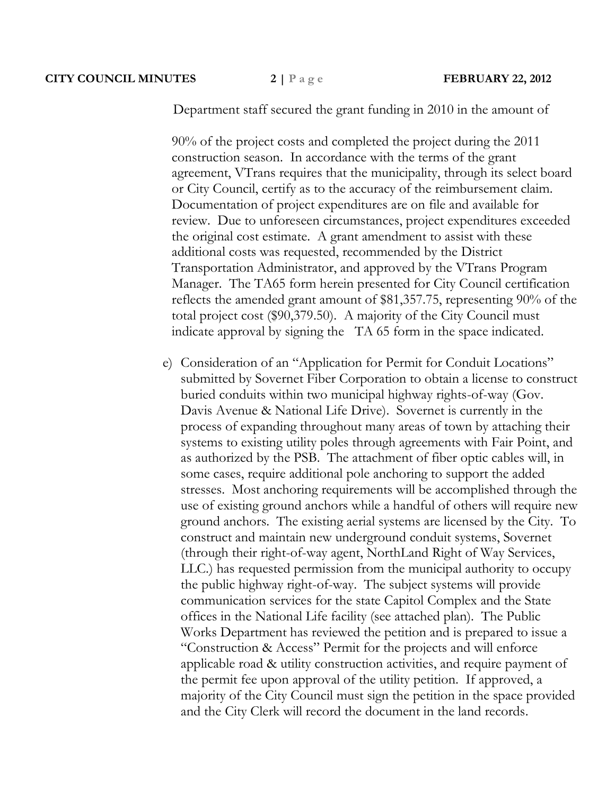#### **CITY COUNCIL MINUTES 2 | P a g e FEBRUARY 22, 2012**

Department staff secured the grant funding in 2010 in the amount of

90% of the project costs and completed the project during the 2011 construction season. In accordance with the terms of the grant agreement, VTrans requires that the municipality, through its select board or City Council, certify as to the accuracy of the reimbursement claim. Documentation of project expenditures are on file and available for review. Due to unforeseen circumstances, project expenditures exceeded the original cost estimate. A grant amendment to assist with these additional costs was requested, recommended by the District Transportation Administrator, and approved by the VTrans Program Manager. The TA65 form herein presented for City Council certification reflects the amended grant amount of \$81,357.75, representing 90% of the total project cost (\$90,379.50). A majority of the City Council must indicate approval by signing the TA 65 form in the space indicated.

e) Consideration of an "Application for Permit for Conduit Locations" submitted by Sovernet Fiber Corporation to obtain a license to construct buried conduits within two municipal highway rights-of-way (Gov. Davis Avenue & National Life Drive). Sovernet is currently in the process of expanding throughout many areas of town by attaching their systems to existing utility poles through agreements with Fair Point, and as authorized by the PSB. The attachment of fiber optic cables will, in some cases, require additional pole anchoring to support the added stresses. Most anchoring requirements will be accomplished through the use of existing ground anchors while a handful of others will require new ground anchors. The existing aerial systems are licensed by the City. To construct and maintain new underground conduit systems, Sovernet (through their right-of-way agent, NorthLand Right of Way Services, LLC.) has requested permission from the municipal authority to occupy the public highway right-of-way. The subject systems will provide communication services for the state Capitol Complex and the State offices in the National Life facility (see attached plan). The Public Works Department has reviewed the petition and is prepared to issue a "Construction & Access" Permit for the projects and will enforce applicable road & utility construction activities, and require payment of the permit fee upon approval of the utility petition. If approved, a majority of the City Council must sign the petition in the space provided and the City Clerk will record the document in the land records.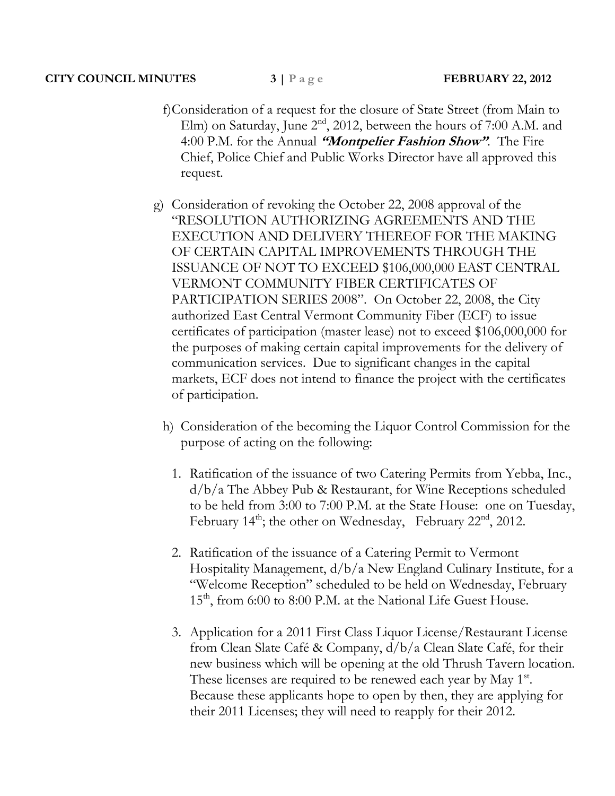## **CITY COUNCIL MINUTES 3 | P a g e FEBRUARY 22, 2012**

- f)Consideration of a request for the closure of State Street (from Main to Elm) on Saturday, June 2<sup>nd</sup>, 2012, between the hours of 7:00 A.M. and 4:00 P.M. for the Annual **"Montpelier Fashion Show"**. The Fire Chief, Police Chief and Public Works Director have all approved this request.
- g) Consideration of revoking the October 22, 2008 approval of the "RESOLUTION AUTHORIZING AGREEMENTS AND THE EXECUTION AND DELIVERY THEREOF FOR THE MAKING OF CERTAIN CAPITAL IMPROVEMENTS THROUGH THE ISSUANCE OF NOT TO EXCEED \$106,000,000 EAST CENTRAL VERMONT COMMUNITY FIBER CERTIFICATES OF PARTICIPATION SERIES 2008". On October 22, 2008, the City authorized East Central Vermont Community Fiber (ECF) to issue certificates of participation (master lease) not to exceed \$106,000,000 for the purposes of making certain capital improvements for the delivery of communication services. Due to significant changes in the capital markets, ECF does not intend to finance the project with the certificates of participation.
	- h) Consideration of the becoming the Liquor Control Commission for the purpose of acting on the following:
		- 1. Ratification of the issuance of two Catering Permits from Yebba, Inc., d/b/a The Abbey Pub & Restaurant, for Wine Receptions scheduled to be held from 3:00 to 7:00 P.M. at the State House: one on Tuesday, February  $14<sup>th</sup>$ ; the other on Wednesday, February  $22<sup>nd</sup>$ ,  $2012$ .
		- 2. Ratification of the issuance of a Catering Permit to Vermont Hospitality Management, d/b/a New England Culinary Institute, for a "Welcome Reception" scheduled to be held on Wednesday, February 15<sup>th</sup>, from 6:00 to 8:00 P.M. at the National Life Guest House.
		- 3. Application for a 2011 First Class Liquor License/Restaurant License from Clean Slate Café & Company, d/b/a Clean Slate Café, for their new business which will be opening at the old Thrush Tavern location. These licenses are required to be renewed each year by May 1<sup>st</sup>. Because these applicants hope to open by then, they are applying for their 2011 Licenses; they will need to reapply for their 2012.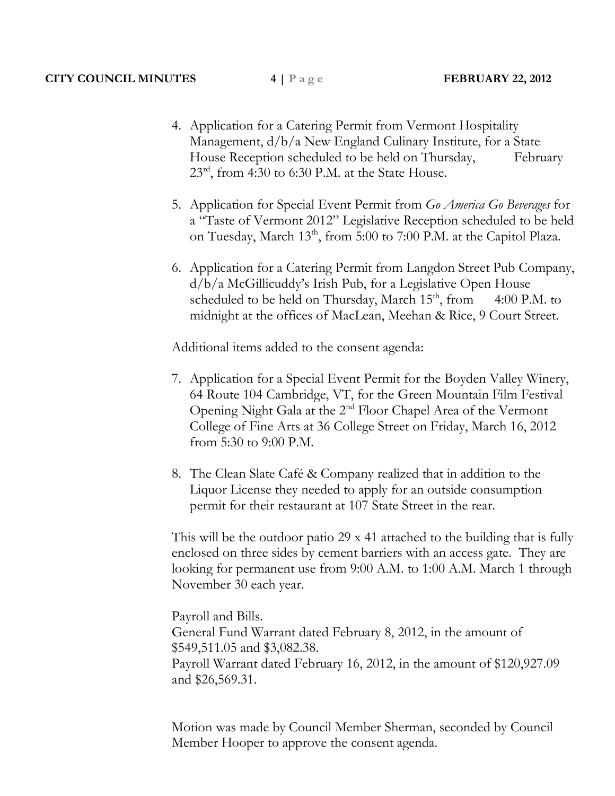- 4. Application for a Catering Permit from Vermont Hospitality Management, d/b/a New England Culinary Institute, for a State House Reception scheduled to be held on Thursday, February  $23<sup>rd</sup>$ , from 4:30 to 6:30 P.M. at the State House.
- 5. Application for Special Event Permit from *Go America Go Beverages* for a "Taste of Vermont 2012" Legislative Reception scheduled to be held on Tuesday, March 13<sup>th</sup>, from 5:00 to 7:00 P.M. at the Capitol Plaza.
- 6. Application for a Catering Permit from Langdon Street Pub Company, d/b/a McGillicuddy's Irish Pub, for a Legislative Open House scheduled to be held on Thursday, March  $15<sup>th</sup>$ , from 4:00 P.M. to midnight at the offices of MacLean, Meehan & Rice, 9 Court Street.

Additional items added to the consent agenda:

- 7. Application for a Special Event Permit for the Boyden Valley Winery, 64 Route 104 Cambridge, VT, for the Green Mountain Film Festival Opening Night Gala at the 2nd Floor Chapel Area of the Vermont College of Fine Arts at 36 College Street on Friday, March 16, 2012 from 5:30 to 9:00 P.M.
- 8. The Clean Slate Café & Company realized that in addition to the Liquor License they needed to apply for an outside consumption permit for their restaurant at 107 State Street in the rear.

This will be the outdoor patio 29 x 41 attached to the building that is fully enclosed on three sides by cement barriers with an access gate. They are looking for permanent use from 9:00 A.M. to 1:00 A.M. March 1 through November 30 each year.

Payroll and Bills.

General Fund Warrant dated February 8, 2012, in the amount of \$549,511.05 and \$3,082.38. Payroll Warrant dated February 16, 2012, in the amount of \$120,927.09 and \$26,569.31.

Motion was made by Council Member Sherman, seconded by Council Member Hooper to approve the consent agenda.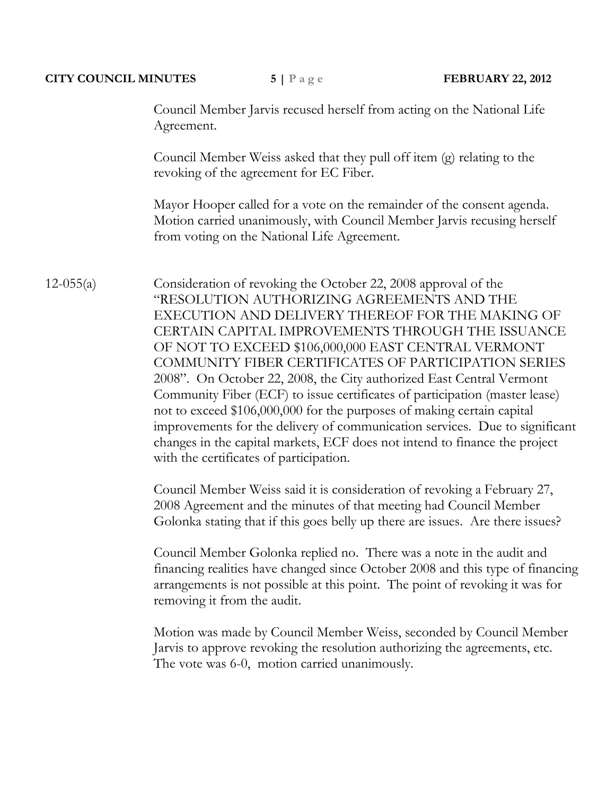#### **CITY COUNCIL MINUTES 5 | P a g e FEBRUARY 22, 2012**

Council Member Jarvis recused herself from acting on the National Life Agreement.

Council Member Weiss asked that they pull off item (g) relating to the revoking of the agreement for EC Fiber.

Mayor Hooper called for a vote on the remainder of the consent agenda. Motion carried unanimously, with Council Member Jarvis recusing herself from voting on the National Life Agreement.

12-055(a) Consideration of revoking the October 22, 2008 approval of the "RESOLUTION AUTHORIZING AGREEMENTS AND THE EXECUTION AND DELIVERY THEREOF FOR THE MAKING OF CERTAIN CAPITAL IMPROVEMENTS THROUGH THE ISSUANCE OF NOT TO EXCEED \$106,000,000 EAST CENTRAL VERMONT COMMUNITY FIBER CERTIFICATES OF PARTICIPATION SERIES 2008". On October 22, 2008, the City authorized East Central Vermont Community Fiber (ECF) to issue certificates of participation (master lease) not to exceed \$106,000,000 for the purposes of making certain capital improvements for the delivery of communication services. Due to significant changes in the capital markets, ECF does not intend to finance the project with the certificates of participation.

> Council Member Weiss said it is consideration of revoking a February 27, 2008 Agreement and the minutes of that meeting had Council Member Golonka stating that if this goes belly up there are issues. Are there issues?

Council Member Golonka replied no. There was a note in the audit and financing realities have changed since October 2008 and this type of financing arrangements is not possible at this point. The point of revoking it was for removing it from the audit.

Motion was made by Council Member Weiss, seconded by Council Member Jarvis to approve revoking the resolution authorizing the agreements, etc. The vote was 6-0, motion carried unanimously.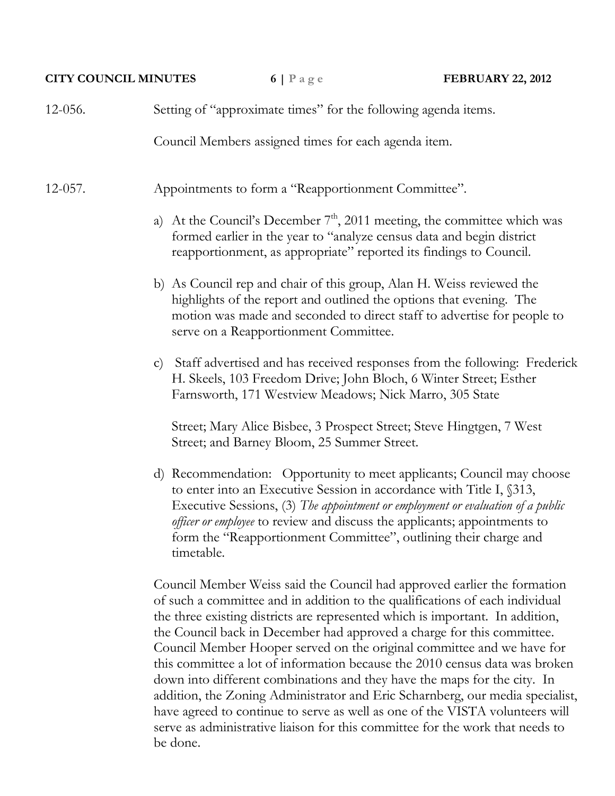#### **CITY COUNCIL MINUTES 6** | P a g e **FEBRUARY 22, 2012**

| $12-056.$ |  | Setting of "approximate times" for the following agenda items. |
|-----------|--|----------------------------------------------------------------|
|-----------|--|----------------------------------------------------------------|

Council Members assigned times for each agenda item.

12-057. Appointments to form a "Reapportionment Committee".

- a) At the Council's December  $7<sup>th</sup>$ , 2011 meeting, the committee which was formed earlier in the year to "analyze census data and begin district reapportionment, as appropriate" reported its findings to Council.
- b) As Council rep and chair of this group, Alan H. Weiss reviewed the highlights of the report and outlined the options that evening. The motion was made and seconded to direct staff to advertise for people to serve on a Reapportionment Committee.
- c) Staff advertised and has received responses from the following: Frederick H. Skeels, 103 Freedom Drive; John Bloch, 6 Winter Street; Esther Farnsworth, 171 Westview Meadows; Nick Marro, 305 State

Street; Mary Alice Bisbee, 3 Prospect Street; Steve Hingtgen, 7 West Street; and Barney Bloom, 25 Summer Street.

d) Recommendation: Opportunity to meet applicants; Council may choose to enter into an Executive Session in accordance with Title I, §313, Executive Sessions, (3) *The appointment or employment or evaluation of a public officer or employee* to review and discuss the applicants; appointments to form the "Reapportionment Committee", outlining their charge and timetable.

Council Member Weiss said the Council had approved earlier the formation of such a committee and in addition to the qualifications of each individual the three existing districts are represented which is important. In addition, the Council back in December had approved a charge for this committee. Council Member Hooper served on the original committee and we have for this committee a lot of information because the 2010 census data was broken down into different combinations and they have the maps for the city. In addition, the Zoning Administrator and Eric Scharnberg, our media specialist, have agreed to continue to serve as well as one of the VISTA volunteers will serve as administrative liaison for this committee for the work that needs to be done.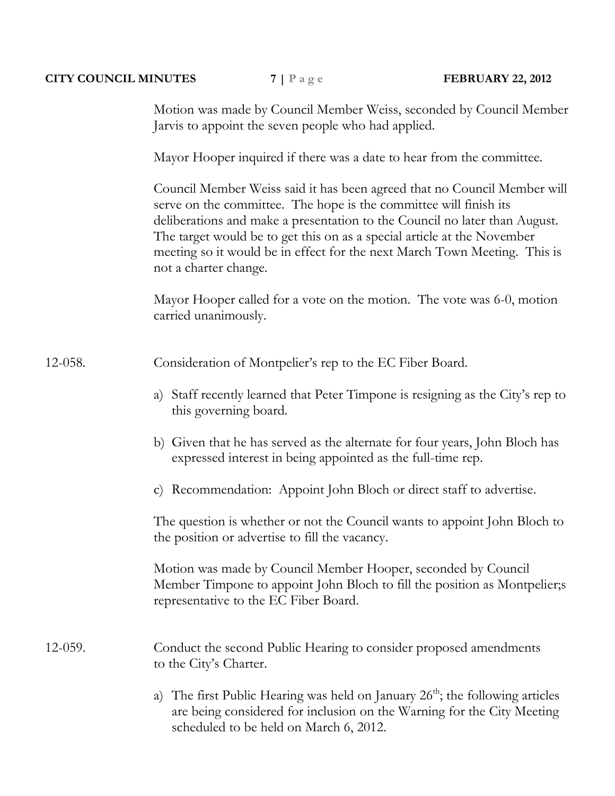| <b>CITY COUNCIL MINUTES</b> |                        | $7   P \text{ a } g \text{ e}$                                                                                                               | <b>FEBRUARY 22, 2012</b>                                                                                                                                                                                                            |  |  |  |
|-----------------------------|------------------------|----------------------------------------------------------------------------------------------------------------------------------------------|-------------------------------------------------------------------------------------------------------------------------------------------------------------------------------------------------------------------------------------|--|--|--|
|                             |                        | Jarvis to appoint the seven people who had applied.                                                                                          | Motion was made by Council Member Weiss, seconded by Council Member                                                                                                                                                                 |  |  |  |
|                             |                        | Mayor Hooper inquired if there was a date to hear from the committee.                                                                        |                                                                                                                                                                                                                                     |  |  |  |
|                             | not a charter change.  | serve on the committee. The hope is the committee will finish its<br>The target would be to get this on as a special article at the November | Council Member Weiss said it has been agreed that no Council Member will<br>deliberations and make a presentation to the Council no later than August.<br>meeting so it would be in effect for the next March Town Meeting. This is |  |  |  |
|                             | carried unanimously.   |                                                                                                                                              | Mayor Hooper called for a vote on the motion. The vote was 6-0, motion                                                                                                                                                              |  |  |  |
| 12-058.                     |                        | Consideration of Montpelier's rep to the EC Fiber Board.                                                                                     |                                                                                                                                                                                                                                     |  |  |  |
|                             |                        | this governing board.                                                                                                                        | a) Staff recently learned that Peter Timpone is resigning as the City's rep to                                                                                                                                                      |  |  |  |
|                             |                        | expressed interest in being appointed as the full-time rep.                                                                                  | b) Given that he has served as the alternate for four years, John Bloch has                                                                                                                                                         |  |  |  |
|                             | $\mathbf{C}$ )         | Recommendation: Appoint John Bloch or direct staff to advertise.                                                                             |                                                                                                                                                                                                                                     |  |  |  |
|                             |                        | the position or advertise to fill the vacancy.                                                                                               | The question is whether or not the Council wants to appoint John Bloch to                                                                                                                                                           |  |  |  |
|                             |                        | Motion was made by Council Member Hooper, seconded by Council<br>representative to the EC Fiber Board.                                       | Member Timpone to appoint John Bloch to fill the position as Montpelier;s                                                                                                                                                           |  |  |  |
| $12-059.$                   | to the City's Charter. | Conduct the second Public Hearing to consider proposed amendments                                                                            |                                                                                                                                                                                                                                     |  |  |  |
|                             | a)                     | scheduled to be held on March 6, 2012.                                                                                                       | The first Public Hearing was held on January $26th$ ; the following articles<br>are being considered for inclusion on the Warning for the City Meeting                                                                              |  |  |  |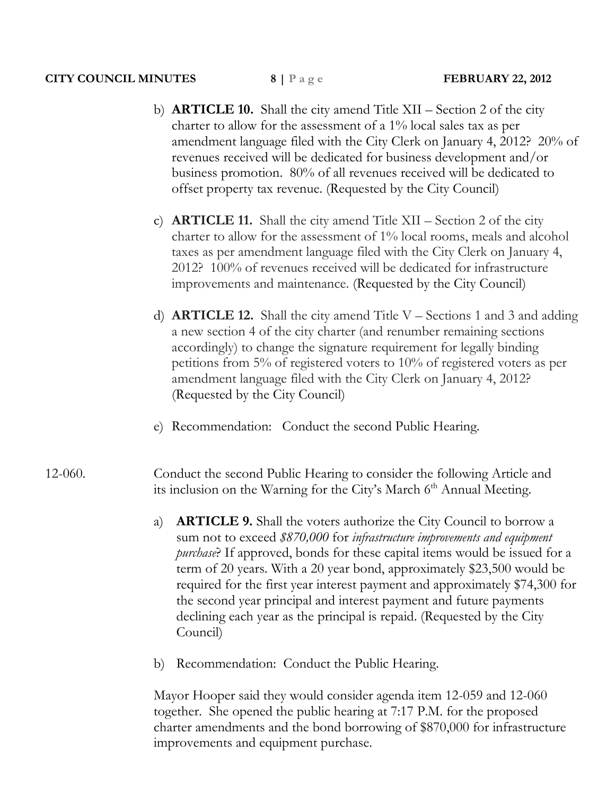- b) **ARTICLE 10.** Shall the city amend Title XII Section 2 of the city charter to allow for the assessment of a 1% local sales tax as per amendment language filed with the City Clerk on January 4, 2012? 20% of revenues received will be dedicated for business development and/or business promotion. 80% of all revenues received will be dedicated to offset property tax revenue. (Requested by the City Council)
- c) **ARTICLE 11.** Shall the city amend Title XII Section 2 of the city charter to allow for the assessment of 1% local rooms, meals and alcohol taxes as per amendment language filed with the City Clerk on January 4, 2012? 100% of revenues received will be dedicated for infrastructure improvements and maintenance. (Requested by the City Council)
- d) **ARTICLE 12.** Shall the city amend Title V Sections 1 and 3 and adding a new section 4 of the city charter (and renumber remaining sections accordingly) to change the signature requirement for legally binding petitions from 5% of registered voters to 10% of registered voters as per amendment language filed with the City Clerk on January 4, 2012? (Requested by the City Council)
- e) Recommendation: Conduct the second Public Hearing.
- 12-060. Conduct the second Public Hearing to consider the following Article and its inclusion on the Warning for the City's March 6<sup>th</sup> Annual Meeting.
	- a) **ARTICLE 9.** Shall the voters authorize the City Council to borrow a sum not to exceed *\$870,000* for *infrastructure improvements and equipment purchase*? If approved, bonds for these capital items would be issued for a term of 20 years. With a 20 year bond, approximately \$23,500 would be required for the first year interest payment and approximately \$74,300 for the second year principal and interest payment and future payments declining each year as the principal is repaid. (Requested by the City Council)
	- b) Recommendation: Conduct the Public Hearing.

Mayor Hooper said they would consider agenda item 12-059 and 12-060 together. She opened the public hearing at 7:17 P.M. for the proposed charter amendments and the bond borrowing of \$870,000 for infrastructure improvements and equipment purchase.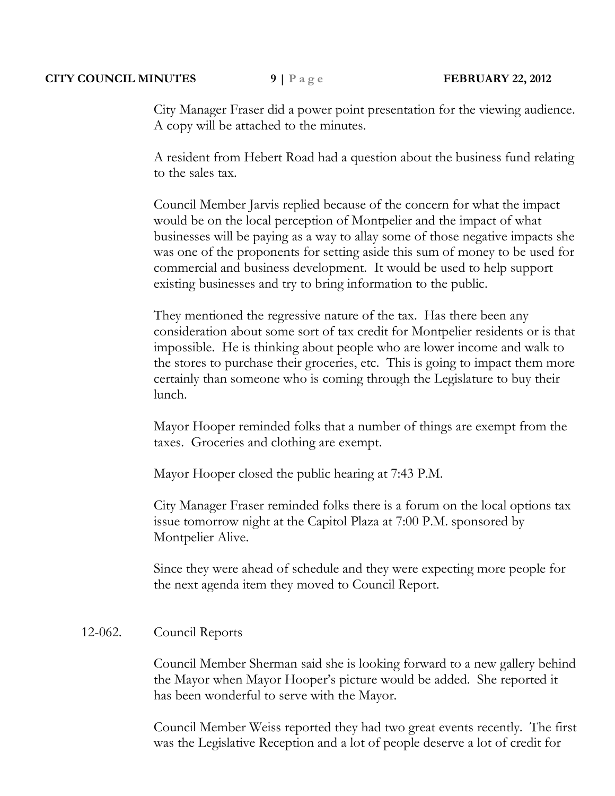## **CITY COUNCIL MINUTES 9** | P a g e **FEBRUARY 22, 2012**

City Manager Fraser did a power point presentation for the viewing audience. A copy will be attached to the minutes.

A resident from Hebert Road had a question about the business fund relating to the sales tax.

Council Member Jarvis replied because of the concern for what the impact would be on the local perception of Montpelier and the impact of what businesses will be paying as a way to allay some of those negative impacts she was one of the proponents for setting aside this sum of money to be used for commercial and business development. It would be used to help support existing businesses and try to bring information to the public.

They mentioned the regressive nature of the tax. Has there been any consideration about some sort of tax credit for Montpelier residents or is that impossible. He is thinking about people who are lower income and walk to the stores to purchase their groceries, etc. This is going to impact them more certainly than someone who is coming through the Legislature to buy their lunch.

Mayor Hooper reminded folks that a number of things are exempt from the taxes. Groceries and clothing are exempt.

Mayor Hooper closed the public hearing at 7:43 P.M.

City Manager Fraser reminded folks there is a forum on the local options tax issue tomorrow night at the Capitol Plaza at 7:00 P.M. sponsored by Montpelier Alive.

Since they were ahead of schedule and they were expecting more people for the next agenda item they moved to Council Report.

# 12-062. Council Reports

Council Member Sherman said she is looking forward to a new gallery behind the Mayor when Mayor Hooper's picture would be added. She reported it has been wonderful to serve with the Mayor.

Council Member Weiss reported they had two great events recently. The first was the Legislative Reception and a lot of people deserve a lot of credit for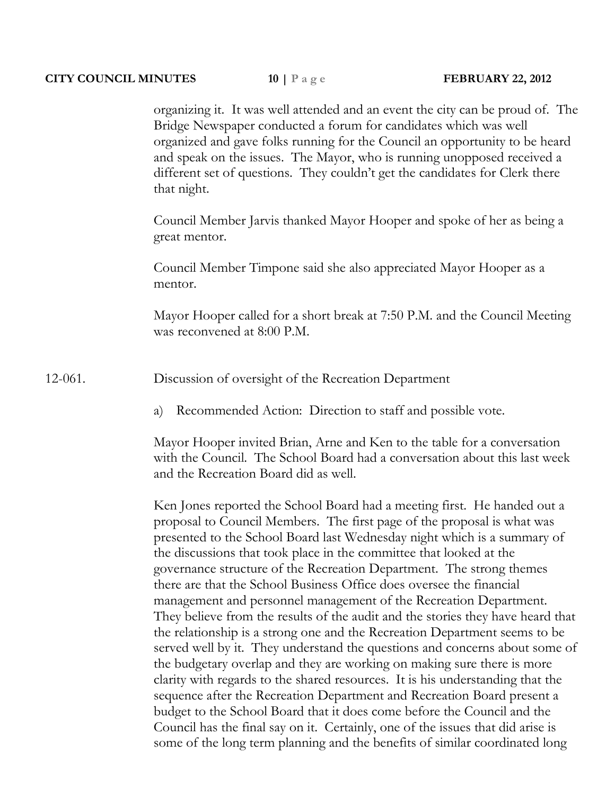organizing it. It was well attended and an event the city can be proud of. The Bridge Newspaper conducted a forum for candidates which was well organized and gave folks running for the Council an opportunity to be heard and speak on the issues. The Mayor, who is running unopposed received a different set of questions. They couldn't get the candidates for Clerk there that night.

Council Member Jarvis thanked Mayor Hooper and spoke of her as being a great mentor.

Council Member Timpone said she also appreciated Mayor Hooper as a mentor.

Mayor Hooper called for a short break at 7:50 P.M. and the Council Meeting was reconvened at 8:00 P.M.

12-061. Discussion of oversight of the Recreation Department

a) Recommended Action: Direction to staff and possible vote.

Mayor Hooper invited Brian, Arne and Ken to the table for a conversation with the Council. The School Board had a conversation about this last week and the Recreation Board did as well.

Ken Jones reported the School Board had a meeting first. He handed out a proposal to Council Members. The first page of the proposal is what was presented to the School Board last Wednesday night which is a summary of the discussions that took place in the committee that looked at the governance structure of the Recreation Department. The strong themes there are that the School Business Office does oversee the financial management and personnel management of the Recreation Department. They believe from the results of the audit and the stories they have heard that the relationship is a strong one and the Recreation Department seems to be served well by it. They understand the questions and concerns about some of the budgetary overlap and they are working on making sure there is more clarity with regards to the shared resources. It is his understanding that the sequence after the Recreation Department and Recreation Board present a budget to the School Board that it does come before the Council and the Council has the final say on it. Certainly, one of the issues that did arise is some of the long term planning and the benefits of similar coordinated long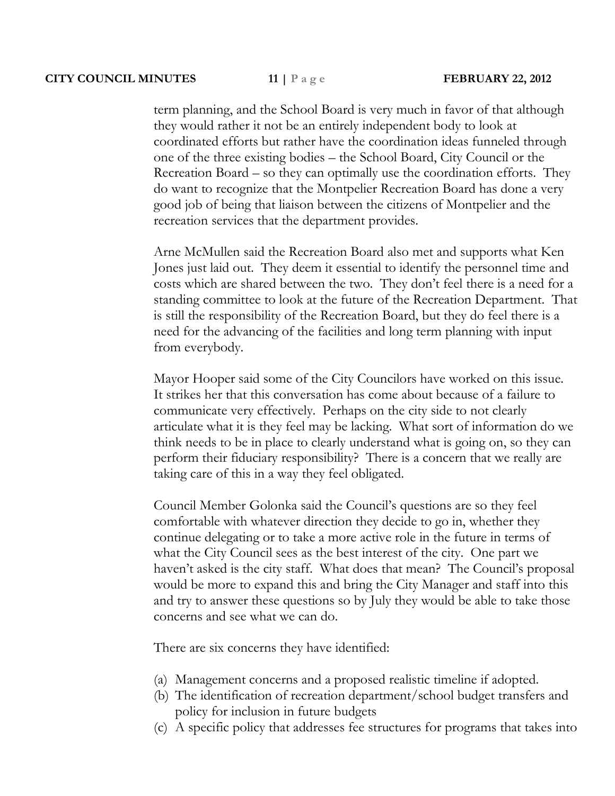term planning, and the School Board is very much in favor of that although they would rather it not be an entirely independent body to look at coordinated efforts but rather have the coordination ideas funneled through one of the three existing bodies – the School Board, City Council or the Recreation Board – so they can optimally use the coordination efforts. They do want to recognize that the Montpelier Recreation Board has done a very good job of being that liaison between the citizens of Montpelier and the recreation services that the department provides.

Arne McMullen said the Recreation Board also met and supports what Ken Jones just laid out. They deem it essential to identify the personnel time and costs which are shared between the two. They don't feel there is a need for a standing committee to look at the future of the Recreation Department. That is still the responsibility of the Recreation Board, but they do feel there is a need for the advancing of the facilities and long term planning with input from everybody.

Mayor Hooper said some of the City Councilors have worked on this issue. It strikes her that this conversation has come about because of a failure to communicate very effectively. Perhaps on the city side to not clearly articulate what it is they feel may be lacking. What sort of information do we think needs to be in place to clearly understand what is going on, so they can perform their fiduciary responsibility? There is a concern that we really are taking care of this in a way they feel obligated.

Council Member Golonka said the Council's questions are so they feel comfortable with whatever direction they decide to go in, whether they continue delegating or to take a more active role in the future in terms of what the City Council sees as the best interest of the city. One part we haven't asked is the city staff. What does that mean? The Council's proposal would be more to expand this and bring the City Manager and staff into this and try to answer these questions so by July they would be able to take those concerns and see what we can do.

There are six concerns they have identified:

- (a) Management concerns and a proposed realistic timeline if adopted.
- (b) The identification of recreation department/school budget transfers and policy for inclusion in future budgets
- (c) A specific policy that addresses fee structures for programs that takes into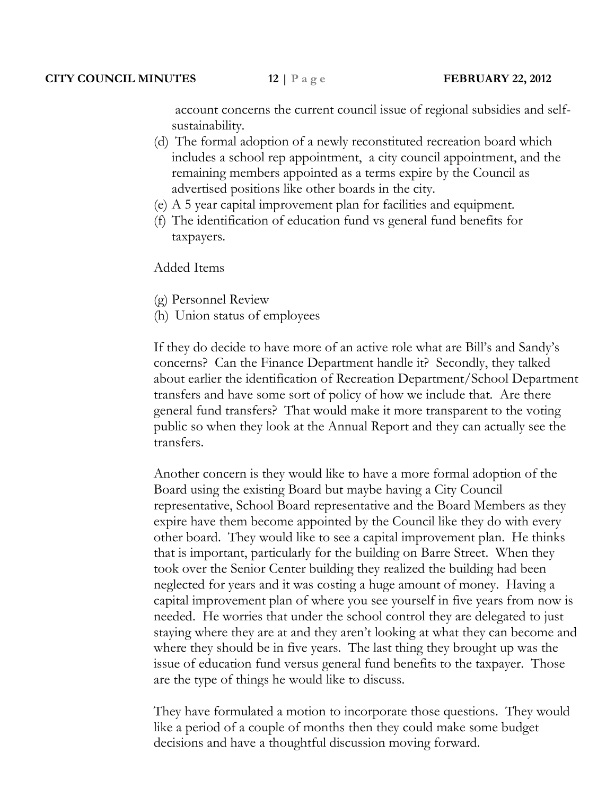account concerns the current council issue of regional subsidies and selfsustainability.

- (d) The formal adoption of a newly reconstituted recreation board which includes a school rep appointment, a city council appointment, and the remaining members appointed as a terms expire by the Council as advertised positions like other boards in the city.
- (e) A 5 year capital improvement plan for facilities and equipment.
- (f) The identification of education fund vs general fund benefits for taxpayers.

Added Items

- (g) Personnel Review
- (h) Union status of employees

If they do decide to have more of an active role what are Bill's and Sandy's concerns? Can the Finance Department handle it? Secondly, they talked about earlier the identification of Recreation Department/School Department transfers and have some sort of policy of how we include that. Are there general fund transfers? That would make it more transparent to the voting public so when they look at the Annual Report and they can actually see the transfers.

Another concern is they would like to have a more formal adoption of the Board using the existing Board but maybe having a City Council representative, School Board representative and the Board Members as they expire have them become appointed by the Council like they do with every other board. They would like to see a capital improvement plan. He thinks that is important, particularly for the building on Barre Street. When they took over the Senior Center building they realized the building had been neglected for years and it was costing a huge amount of money. Having a capital improvement plan of where you see yourself in five years from now is needed. He worries that under the school control they are delegated to just staying where they are at and they aren't looking at what they can become and where they should be in five years. The last thing they brought up was the issue of education fund versus general fund benefits to the taxpayer. Those are the type of things he would like to discuss.

They have formulated a motion to incorporate those questions. They would like a period of a couple of months then they could make some budget decisions and have a thoughtful discussion moving forward.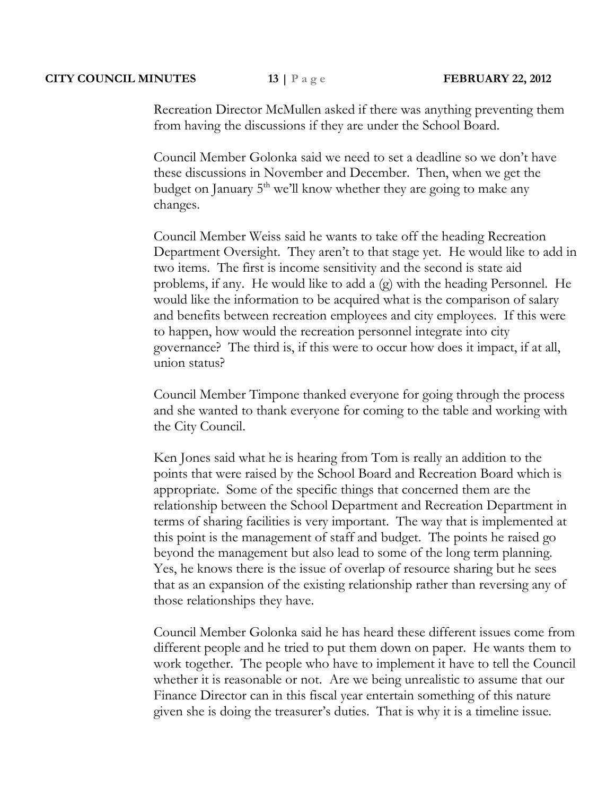## **CITY COUNCIL MINUTES 13** | P a g e **FEBRUARY 22, 2012**

Recreation Director McMullen asked if there was anything preventing them from having the discussions if they are under the School Board.

Council Member Golonka said we need to set a deadline so we don't have these discussions in November and December. Then, when we get the budget on January  $5<sup>th</sup>$  we'll know whether they are going to make any changes.

Council Member Weiss said he wants to take off the heading Recreation Department Oversight. They aren't to that stage yet. He would like to add in two items. The first is income sensitivity and the second is state aid problems, if any. He would like to add a (g) with the heading Personnel. He would like the information to be acquired what is the comparison of salary and benefits between recreation employees and city employees. If this were to happen, how would the recreation personnel integrate into city governance? The third is, if this were to occur how does it impact, if at all, union status?

Council Member Timpone thanked everyone for going through the process and she wanted to thank everyone for coming to the table and working with the City Council.

Ken Jones said what he is hearing from Tom is really an addition to the points that were raised by the School Board and Recreation Board which is appropriate. Some of the specific things that concerned them are the relationship between the School Department and Recreation Department in terms of sharing facilities is very important. The way that is implemented at this point is the management of staff and budget. The points he raised go beyond the management but also lead to some of the long term planning. Yes, he knows there is the issue of overlap of resource sharing but he sees that as an expansion of the existing relationship rather than reversing any of those relationships they have.

Council Member Golonka said he has heard these different issues come from different people and he tried to put them down on paper. He wants them to work together. The people who have to implement it have to tell the Council whether it is reasonable or not. Are we being unrealistic to assume that our Finance Director can in this fiscal year entertain something of this nature given she is doing the treasurer's duties. That is why it is a timeline issue.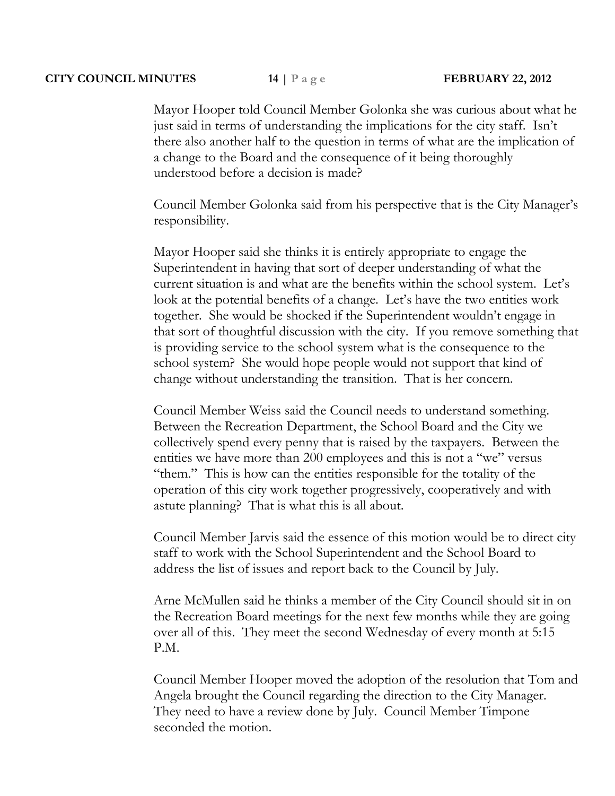#### **CITY COUNCIL MINUTES 14 | P a g e FEBRUARY 22, 2012**

Mayor Hooper told Council Member Golonka she was curious about what he just said in terms of understanding the implications for the city staff. Isn't there also another half to the question in terms of what are the implication of a change to the Board and the consequence of it being thoroughly understood before a decision is made?

Council Member Golonka said from his perspective that is the City Manager's responsibility.

Mayor Hooper said she thinks it is entirely appropriate to engage the Superintendent in having that sort of deeper understanding of what the current situation is and what are the benefits within the school system. Let's look at the potential benefits of a change. Let's have the two entities work together. She would be shocked if the Superintendent wouldn't engage in that sort of thoughtful discussion with the city. If you remove something that is providing service to the school system what is the consequence to the school system? She would hope people would not support that kind of change without understanding the transition. That is her concern.

Council Member Weiss said the Council needs to understand something. Between the Recreation Department, the School Board and the City we collectively spend every penny that is raised by the taxpayers. Between the entities we have more than 200 employees and this is not a "we" versus "them." This is how can the entities responsible for the totality of the operation of this city work together progressively, cooperatively and with astute planning? That is what this is all about.

Council Member Jarvis said the essence of this motion would be to direct city staff to work with the School Superintendent and the School Board to address the list of issues and report back to the Council by July.

Arne McMullen said he thinks a member of the City Council should sit in on the Recreation Board meetings for the next few months while they are going over all of this. They meet the second Wednesday of every month at 5:15 P.M.

Council Member Hooper moved the adoption of the resolution that Tom and Angela brought the Council regarding the direction to the City Manager. They need to have a review done by July. Council Member Timpone seconded the motion.